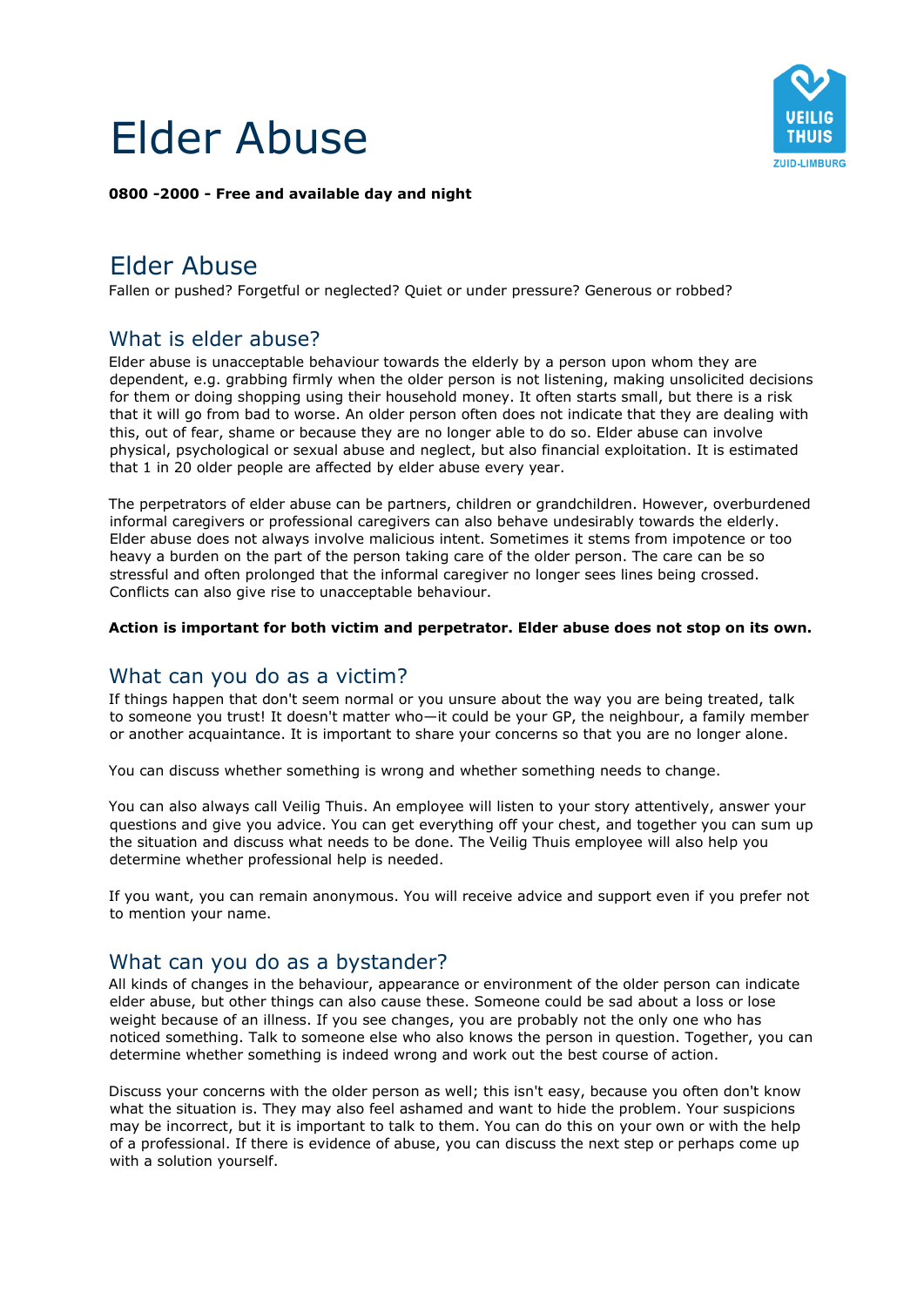# Elder Abuse



#### **0800 -2000 - Free and available day and night**

## Elder Abuse

Fallen or pushed? Forgetful or neglected? Quiet or under pressure? Generous or robbed?

## What is elder abuse?

Elder abuse is unacceptable behaviour towards the elderly by a person upon whom they are dependent, e.g. grabbing firmly when the older person is not listening, making unsolicited decisions for them or doing shopping using their household money. It often starts small, but there is a risk that it will go from bad to worse. An older person often does not indicate that they are dealing with this, out of fear, shame or because they are no longer able to do so. Elder abuse can involve physical, psychological or sexual abuse and neglect, but also financial exploitation. It is estimated that 1 in 20 older people are affected by elder abuse every year.

The perpetrators of elder abuse can be partners, children or grandchildren. However, overburdened informal caregivers or professional caregivers can also behave undesirably towards the elderly. Elder abuse does not always involve malicious intent. Sometimes it stems from impotence or too heavy a burden on the part of the person taking care of the older person. The care can be so stressful and often prolonged that the informal caregiver no longer sees lines being crossed. Conflicts can also give rise to unacceptable behaviour.

#### **Action is important for both victim and perpetrator. Elder abuse does not stop on its own.**

## What can you do as a victim?

If things happen that don't seem normal or you unsure about the way you are being treated, talk to someone you trust! It doesn't matter who—it could be your GP, the neighbour, a family member or another acquaintance. It is important to share your concerns so that you are no longer alone.

You can discuss whether something is wrong and whether something needs to change.

You can also always call Veilig Thuis. An employee will listen to your story attentively, answer your questions and give you advice. You can get everything off your chest, and together you can sum up the situation and discuss what needs to be done. The Veilig Thuis employee will also help you determine whether professional help is needed.

If you want, you can remain anonymous. You will receive advice and support even if you prefer not to mention your name.

## What can you do as a bystander?

All kinds of changes in the behaviour, appearance or environment of the older person can indicate elder abuse, but other things can also cause these. Someone could be sad about a loss or lose weight because of an illness. If you see changes, you are probably not the only one who has noticed something. Talk to someone else who also knows the person in question. Together, you can determine whether something is indeed wrong and work out the best course of action.

Discuss your concerns with the older person as well; this isn't easy, because you often don't know what the situation is. They may also feel ashamed and want to hide the problem. Your suspicions may be incorrect, but it is important to talk to them. You can do this on your own or with the help of a professional. If there is evidence of abuse, you can discuss the next step or perhaps come up with a solution yourself.